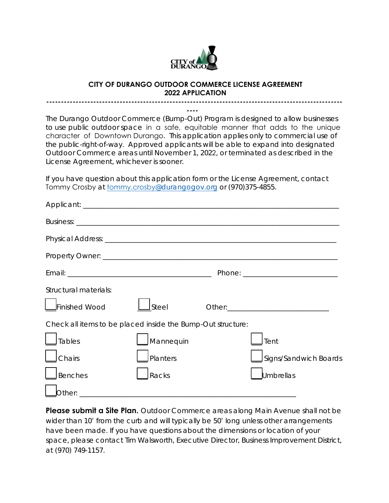

## **CITY OF DURANGO OUTDOOR COMMERCE LICENSE AGREEMENT 2022 APPLICATION**

**-----------------------------------------------------------------------------------------------------**

**----** The Durango Outdoor Commerce (Bump-Out) Program is designed to allow businesses to use public outdoor space in a safe, equitable manner that adds to the unique character of Downtown Durango. This application applies only to commercial use of the public-right-of-way. Approved applicants will be able to expand into designated Outdoor Commerce areas until November 1, 2022, or terminated as described in the License Agreement, whichever is sooner.

If you have question about this application form or the License Agreement, contact Tommy Crosby at tommy.crosby@durangogov.org or (970)375-4855.

| Structural materials:                                       |           |  |                       |
|-------------------------------------------------------------|-----------|--|-----------------------|
| Finished Wood                                               | Steel     |  |                       |
| Check all items to be placed inside the Bump-Out structure: |           |  |                       |
| <b>Tables</b>                                               | Mannequin |  | Tent                  |
| Chairs                                                      | Planters  |  | Signs/Sandwich Boards |
| <b>Benches</b>                                              | Racks     |  | <b>Umbrellas</b>      |
| Other:                                                      |           |  |                       |

**Please submit a Site Plan.** Outdoor Commerce areas along Main Avenue shall not be wider than 10' from the curb and will typically be 50' long unless other arrangements have been made. If you have questions about the dimensions or location of your space, please contact Tim Walsworth, Executive Director, Business Improvement District, at (970) 749-1157.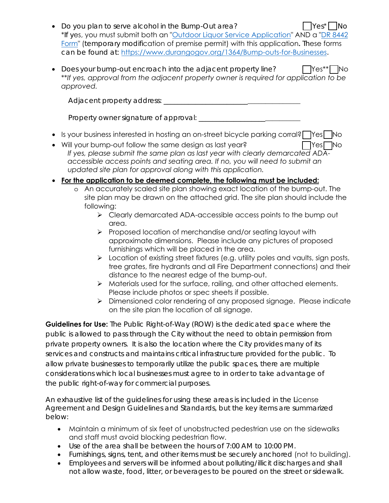- Do you plan to serve alcohol in the Bump-Out area? ☐ Yes\* ☐ No \*If yes, you must submit both an ["Outdoor Liquor Service Application](https://www.durangogov.org/DocumentCenter/View/17463/Outdoor-Liquor-Service-Application-PDF)" AND a ["DR 8442](https://www.colorado.gov/pacific/sites/default/files/DR%208442e_1.pdf) [Form](https://www.colorado.gov/pacific/sites/default/files/DR%208442e_1.pdf)" (temporary modification of premise permit) with this application**.** These forms can be found at: <https://www.durangogov.org/1364/Bump-outs-for-Businesses>.
- Does your bump-out encroach into the adjacent property line?  $\Box$  Yes\*\* No \*\**If yes, approval from the adjacent property owner is required for application to be approved.*

Adjacent property address: \_\_\_\_\_\_\_\_\_\_\_\_\_\_\_\_\_\_\_\_\_\_\_\_\_\_\_\_\_\_\_\_\_\_\_\_\_\_\_

Property owner signature of approval: \_\_\_\_\_\_\_\_\_\_\_\_\_\_\_\_\_\_\_\_\_\_\_\_\_\_\_\_\_

- Is your business interested in hosting an on-street bicycle parking corral? 门Yes 门No
- Will your bump-out follow the same design as last year? ☐ Yes ☐ No *If yes, please submit the same plan as last year with clearly demarcated ADAaccessible access points and seating area. If no, you will need to submit an updated site plan for approval along with this application.*
- **For the application to be deemed complete, the following must be included:**
	- o An accurately scaled site plan showing exact location of the bump-out. The site plan may be drawn on the attached grid. The site plan should include the following:
		- $\triangleright$  Clearly demarcated ADA-accessible access points to the bump out area.
		- $\triangleright$  Proposed location of merchandise and/or seating layout with approximate dimensions. Please include any pictures of proposed furnishings which will be placed in the area.
		- $\triangleright$  Location of existing street fixtures (e.g. utility poles and vaults, sign posts, tree grates, fire hydrants and all Fire Department connections) and their distance to the nearest edge of the bump-out.
		- $\triangleright$  Materials used for the surface, railing, and other attached elements. Please include photos or spec sheets if possible.
		- > Dimensioned color rendering of any proposed signage. Please indicate on the site plan the location of all signage.

**Guidelines for Use:** The Public Right-of-Way (ROW) is the dedicated space where the public is allowed to pass through the City without the need to obtain permission from private property owners. It is also the location where the City provides many of its services and constructs and maintains critical infrastructure provided for the public. To allow private businesses to temporarily utilize the public spaces, there are multiple considerations which local businesses must agree to in order to take advantage of the public right-of-way for commercial purposes.

An exhaustive list of the guidelines for using these areas is included in the License Agreement and Design Guidelines and Standards, but the key items are summarized below:

- Maintain a minimum of six feet of unobstructed pedestrian use on the sidewalks and staff must avoid blocking pedestrian flow.
- Use of the area shall be between the hours of 7:00 AM to 10:00 PM.
- Furnishings, signs, tent, and other items must be securely anchored (not to building).
- Employees and servers will be informed about polluting/illicit discharges and shall not allow waste, food, litter, or beverages to be poured on the street or sidewalk.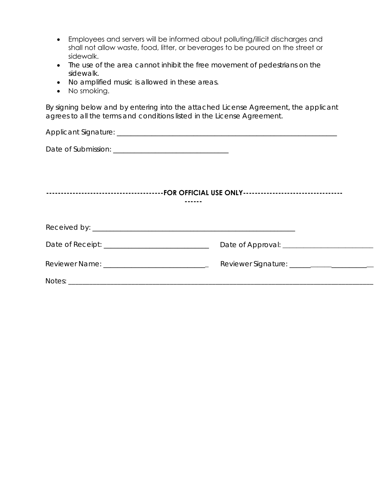- Employees and servers will be informed about polluting/illicit discharges and shall not allow waste, food, litter, or beverages to be poured on the street or sidewalk.
- The use of the area cannot inhibit the free movement of pedestrians on the sidewalk.
- No amplified music is allowed in these areas.
- No smoking.

By signing below and by entering into the attached License Agreement, the applicant agrees to all the terms and conditions listed in the License Agreement.

| Reviewer Name: _______________________________ |  |
|------------------------------------------------|--|
|                                                |  |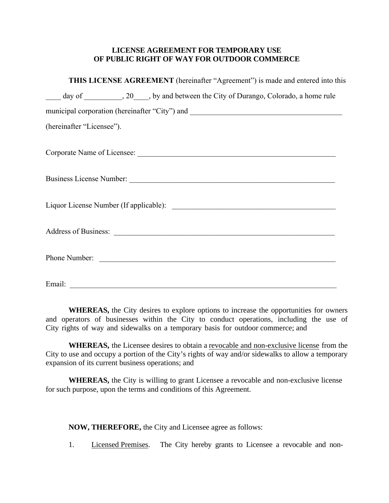## **LICENSE AGREEMENT FOR TEMPORARY USE OF PUBLIC RIGHT OF WAY FOR OUTDOOR COMMERCE**

| THIS LICENSE AGREEMENT (hereinafter "Agreement") is made and entered into this              |
|---------------------------------------------------------------------------------------------|
| day of ________________, 20_____, by and between the City of Durango, Colorado, a home rule |
| municipal corporation (hereinafter "City") and __________________________________           |
| (hereinafter "Licensee").                                                                   |
|                                                                                             |
|                                                                                             |
|                                                                                             |
|                                                                                             |
| Phone Number:                                                                               |
| Email:                                                                                      |

**WHEREAS,** the City desires to explore options to increase the opportunities for owners and operators of businesses within the City to conduct operations, including the use of City rights of way and sidewalks on a temporary basis for outdoor commerce; and

**WHEREAS,** the Licensee desires to obtain a revocable and non-exclusive license from the City to use and occupy a portion of the City's rights of way and/or sidewalks to allow a temporary expansion of its current business operations; and

**WHEREAS,** the City is willing to grant Licensee a revocable and non-exclusive license for such purpose, upon the terms and conditions of this Agreement.

**NOW, THEREFORE,** the City and Licensee agree as follows:

1. Licensed Premises. The City hereby grants to Licensee a revocable and non-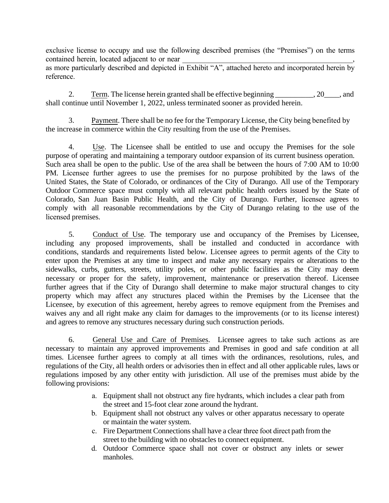exclusive license to occupy and use the following described premises (the "Premises") on the terms contained herein, located adjacent to or near

as more particularly described and depicted in Exhibit "A", attached hereto and incorporated herein by reference.

2. Term. The license herein granted shall be effective beginning \_\_\_\_\_\_\_\_, 20\_\_\_, and shall continue until November 1, 2022, unless terminated sooner as provided herein.

3. Payment. There shall be no fee for the Temporary License, the City being benefited by the increase in commerce within the City resulting from the use of the Premises.

4. Use. The Licensee shall be entitled to use and occupy the Premises for the sole purpose of operating and maintaining a temporary outdoor expansion of its current business operation. Such area shall be open to the public. Use of the area shall be between the hours of 7:00 AM to 10:00 PM. Licensee further agrees to use the premises for no purpose prohibited by the laws of the United States, the State of Colorado, or ordinances of the City of Durango. All use of the Temporary Outdoor Commerce space must comply with all relevant public health orders issued by the State of Colorado, San Juan Basin Public Health, and the City of Durango. Further, licensee agrees to comply with all reasonable recommendations by the City of Durango relating to the use of the licensed premises.

5. Conduct of Use. The temporary use and occupancy of the Premises by Licensee, including any proposed improvements, shall be installed and conducted in accordance with conditions, standards and requirements listed below. Licensee agrees to permit agents of the City to enter upon the Premises at any time to inspect and make any necessary repairs or alterations to the sidewalks, curbs, gutters, streets, utility poles, or other public facilities as the City may deem necessary or proper for the safety, improvement, maintenance or preservation thereof. Licensee further agrees that if the City of Durango shall determine to make major structural changes to city property which may affect any structures placed within the Premises by the Licensee that the Licensee, by execution of this agreement, hereby agrees to remove equipment from the Premises and waives any and all right make any claim for damages to the improvements (or to its license interest) and agrees to remove any structures necessary during such construction periods.

6. General Use and Care of Premises. Licensee agrees to take such actions as are necessary to maintain any approved improvements and Premises in good and safe condition at all times. Licensee further agrees to comply at all times with the ordinances, resolutions, rules, and regulations of the City, all health orders or advisories then in effect and all other applicable rules, laws or regulations imposed by any other entity with jurisdiction. All use of the premises must abide by the following provisions:

- a. Equipment shall not obstruct any fire hydrants, which includes a clear path from the street and 15-foot clear zone around the hydrant.
- b. Equipment shall not obstruct any valves or other apparatus necessary to operate or maintain the water system.
- c. Fire Department Connections shall have a clear three foot direct path from the street to the building with no obstacles to connect equipment.
- d. Outdoor Commerce space shall not cover or obstruct any inlets or sewer manholes.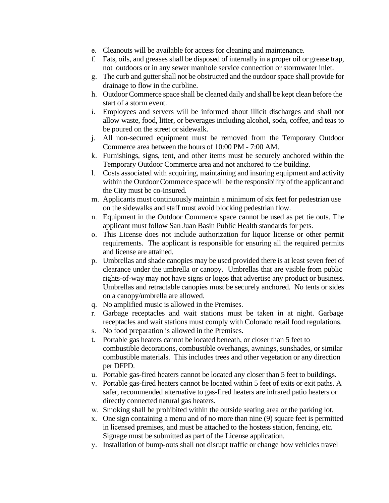- e. Cleanouts will be available for access for cleaning and maintenance.
- f. Fats, oils, and greases shall be disposed of internally in a proper oil or grease trap, not outdoors or in any sewer manhole service connection or stormwater inlet.
- g. The curb and gutter shall not be obstructed and the outdoor space shall provide for drainage to flow in the curbline.
- h. Outdoor Commerce space shall be cleaned daily and shall be kept clean before the start of a storm event.
- i. Employees and servers will be informed about illicit discharges and shall not allow waste, food, litter, or beverages including alcohol, soda, coffee, and teas to be poured on the street or sidewalk.
- j. All non-secured equipment must be removed from the Temporary Outdoor Commerce area between the hours of 10:00 PM - 7:00 AM.
- k. Furnishings, signs, tent, and other items must be securely anchored within the Temporary Outdoor Commerce area and not anchored to the building.
- l. Costs associated with acquiring, maintaining and insuring equipment and activity within the Outdoor Commerce space will be the responsibility of the applicant and the City must be co-insured.
- m. Applicants must continuously maintain a minimum of six feet for pedestrian use on the sidewalks and staff must avoid blocking pedestrian flow.
- n. Equipment in the Outdoor Commerce space cannot be used as pet tie outs. The applicant must follow San Juan Basin Public Health standards for pets.
- o. This License does not include authorization for liquor license or other permit requirements. The applicant is responsible for ensuring all the required permits and license are attained.
- p. Umbrellas and shade canopies may be used provided there is at least seven feet of clearance under the umbrella or canopy. Umbrellas that are visible from public rights-of-way may not have signs or logos that advertise any product or business. Umbrellas and retractable canopies must be securely anchored. No tents or sides on a canopy/umbrella are allowed.
- q. No amplified music is allowed in the Premises.
- r. Garbage receptacles and wait stations must be taken in at night. Garbage receptacles and wait stations must comply with Colorado retail food regulations.
- s. No food preparation is allowed in the Premises.
- t. Portable gas heaters cannot be located beneath, or closer than 5 feet to combustible decorations, combustible overhangs, awnings, sunshades, or similar combustible materials. This includes trees and other vegetation or any direction per DFPD.
- u. Portable gas-fired heaters cannot be located any closer than 5 feet to buildings.
- v. Portable gas-fired heaters cannot be located within 5 feet of exits or exit paths. A safer, recommended alternative to gas-fired heaters are infrared patio heaters or directly connected natural gas heaters.
- w. Smoking shall be prohibited within the outside seating area or the parking lot.
- x. One sign containing a menu and of no more than nine (9) square feet is permitted in licensed premises, and must be attached to the hostess station, fencing, etc. Signage must be submitted as part of the License application.
- y. Installation of bump-outs shall not disrupt traffic or change how vehicles travel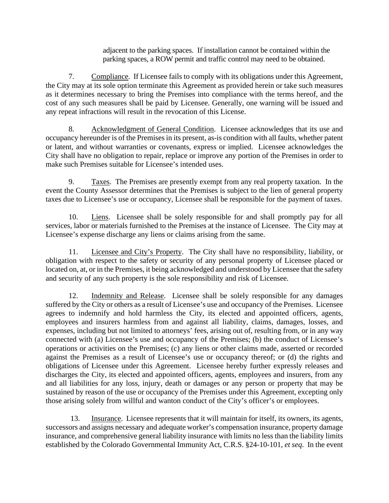adjacent to the parking spaces. If installation cannot be contained within the parking spaces, a ROW permit and traffic control may need to be obtained.

7. Compliance. If Licensee fails to comply with its obligations under this Agreement, the City may at its sole option terminate this Agreement as provided herein or take such measures as it determines necessary to bring the Premises into compliance with the terms hereof, and the cost of any such measures shall be paid by Licensee. Generally, one warning will be issued and any repeat infractions will result in the revocation of this License.

8. Acknowledgment of General Condition. Licensee acknowledges that its use and occupancy hereunder is of the Premises in its present, as-is condition with all faults, whether patent or latent, and without warranties or covenants, express or implied. Licensee acknowledges the City shall have no obligation to repair, replace or improve any portion of the Premises in order to make such Premises suitable for Licensee's intended uses.

9. Taxes. The Premises are presently exempt from any real property taxation. In the event the County Assessor determines that the Premises is subject to the lien of general property taxes due to Licensee's use or occupancy, Licensee shall be responsible for the payment of taxes.

10. Liens. Licensee shall be solely responsible for and shall promptly pay for all services, labor or materials furnished to the Premises at the instance of Licensee. The City may at Licensee's expense discharge any liens or claims arising from the same.

11. Licensee and City's Property. The City shall have no responsibility, liability, or obligation with respect to the safety or security of any personal property of Licensee placed or located on, at, or in the Premises, it being acknowledged and understood by Licensee that the safety and security of any such property is the sole responsibility and risk of Licensee.

12. Indemnity and Release. Licensee shall be solely responsible for any damages suffered by the City or others as a result of Licensee's use and occupancy of the Premises. Licensee agrees to indemnify and hold harmless the City, its elected and appointed officers, agents, employees and insurers harmless from and against all liability, claims, damages, losses, and expenses, including but not limited to attorneys' fees, arising out of, resulting from, or in any way connected with (a) Licensee's use and occupancy of the Premises; (b) the conduct of Licensee's operations or activities on the Premises; (c) any liens or other claims made, asserted or recorded against the Premises as a result of Licensee's use or occupancy thereof; or (d) the rights and obligations of Licensee under this Agreement. Licensee hereby further expressly releases and discharges the City, its elected and appointed officers, agents, employees and insurers, from any and all liabilities for any loss, injury, death or damages or any person or property that may be sustained by reason of the use or occupancy of the Premises under this Agreement, excepting only those arising solely from willful and wanton conduct of the City's officer's or employees.

13. Insurance. Licensee represents that it will maintain for itself, its owners, its agents, successors and assigns necessary and adequate worker's compensation insurance, property damage insurance, and comprehensive general liability insurance with limits no less than the liability limits established by the Colorado Governmental Immunity Act, C.R.S. §24-10-101, *et seq*. In the event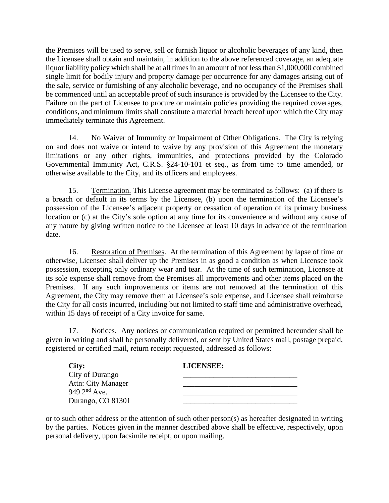the Premises will be used to serve, sell or furnish liquor or alcoholic beverages of any kind, then the Licensee shall obtain and maintain, in addition to the above referenced coverage, an adequate liquor liability policy which shall be at all times in an amount of not less than \$1,000,000 combined single limit for bodily injury and property damage per occurrence for any damages arising out of the sale, service or furnishing of any alcoholic beverage, and no occupancy of the Premises shall be commenced until an acceptable proof of such insurance is provided by the Licensee to the City. Failure on the part of Licensee to procure or maintain policies providing the required coverages, conditions, and minimum limits shall constitute a material breach hereof upon which the City may immediately terminate this Agreement.

14. No Waiver of Immunity or Impairment of Other Obligations. The City is relying on and does not waive or intend to waive by any provision of this Agreement the monetary limitations or any other rights, immunities, and protections provided by the Colorado Governmental Immunity Act, C.R.S. §24-10-101 et seq., as from time to time amended, or otherwise available to the City, and its officers and employees.

15. Termination. This License agreement may be terminated as follows: (a) if there is a breach or default in its terms by the Licensee, (b) upon the termination of the Licensee's possession of the Licensee's adjacent property or cessation of operation of its primary business location or (c) at the City's sole option at any time for its convenience and without any cause of any nature by giving written notice to the Licensee at least 10 days in advance of the termination date.

16. Restoration of Premises. At the termination of this Agreement by lapse of time or otherwise, Licensee shall deliver up the Premises in as good a condition as when Licensee took possession, excepting only ordinary wear and tear. At the time of such termination, Licensee at its sole expense shall remove from the Premises all improvements and other items placed on the Premises. If any such improvements or items are not removed at the termination of this Agreement, the City may remove them at Licensee's sole expense, and Licensee shall reimburse the City for all costs incurred, including but not limited to staff time and administrative overhead, within 15 days of receipt of a City invoice for same.

17. Notices. Any notices or communication required or permitted hereunder shall be given in writing and shall be personally delivered, or sent by United States mail, postage prepaid, registered or certified mail, return receipt requested, addressed as follows:

| City:                     | LICENSEE: |
|---------------------------|-----------|
| City of Durango           |           |
| <b>Attn: City Manager</b> |           |
| 949 $2^{nd}$ Ave.         |           |
| Durango, CO 81301         |           |

or to such other address or the attention of such other person(s) as hereafter designated in writing by the parties. Notices given in the manner described above shall be effective, respectively, upon personal delivery, upon facsimile receipt, or upon mailing.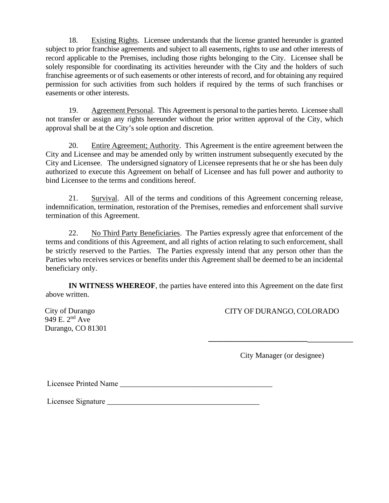18. Existing Rights. Licensee understands that the license granted hereunder is granted subject to prior franchise agreements and subject to all easements, rights to use and other interests of record applicable to the Premises, including those rights belonging to the City. Licensee shall be solely responsible for coordinating its activities hereunder with the City and the holders of such franchise agreements or of such easements or other interests of record, and for obtaining any required permission for such activities from such holders if required by the terms of such franchises or easements or other interests.

19. Agreement Personal. This Agreement is personal to the parties hereto. Licensee shall not transfer or assign any rights hereunder without the prior written approval of the City, which approval shall be at the City's sole option and discretion.

20. Entire Agreement; Authority. This Agreement is the entire agreement between the City and Licensee and may be amended only by written instrument subsequently executed by the City and Licensee. The undersigned signatory of Licensee represents that he or she has been duly authorized to execute this Agreement on behalf of Licensee and has full power and authority to bind Licensee to the terms and conditions hereof.

21. Survival. All of the terms and conditions of this Agreement concerning release, indemnification, termination, restoration of the Premises, remedies and enforcement shall survive termination of this Agreement.

22. No Third Party Beneficiaries. The Parties expressly agree that enforcement of the terms and conditions of this Agreement, and all rights of action relating to such enforcement, shall be strictly reserved to the Parties. The Parties expressly intend that any person other than the Parties who receives services or benefits under this Agreement shall be deemed to be an incidental beneficiary only.

**IN WITNESS WHEREOF**, the parties have entered into this Agreement on the date first above written.

949 E. 2nd Ave Durango, CO 81301

City of Durango CITY OF DURANGO, COLORADO

City Manager (or designee)

**\_\_\_\_\_\_\_\_\_\_\_\_\_\_\_\_\_\_\_\_\_\_\_\_\_\_\_\_\_\_\_\_\_\_\_\_\_\_** 

Licensee Printed Name \_\_\_\_\_\_\_\_\_\_\_\_\_\_\_\_\_\_\_\_\_\_\_\_\_\_\_\_\_\_\_\_\_\_\_\_\_\_\_\_

Licensee Signature \_\_\_\_\_\_\_\_\_\_\_\_\_\_\_\_\_\_\_\_\_\_\_\_\_\_\_\_\_\_\_\_\_\_\_\_\_\_\_\_